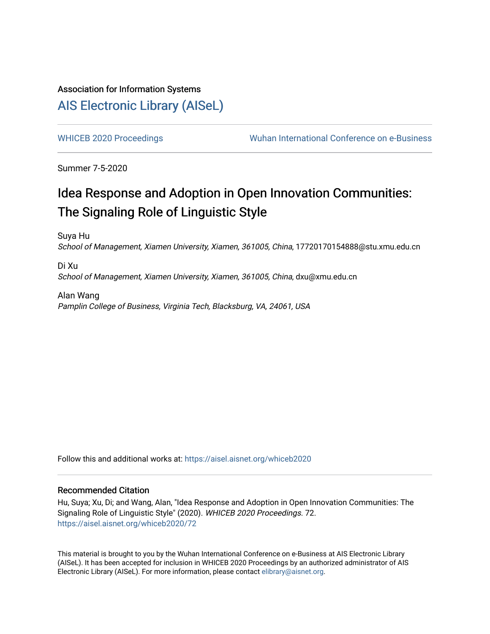# Association for Information Systems [AIS Electronic Library \(AISeL\)](https://aisel.aisnet.org/)

[WHICEB 2020 Proceedings](https://aisel.aisnet.org/whiceb2020) Wuhan International Conference on e-Business

Summer 7-5-2020

# Idea Response and Adoption in Open Innovation Communities: The Signaling Role of Linguistic Style

Suya Hu School of Management, Xiamen University, Xiamen, 361005, China, 17720170154888@stu.xmu.edu.cn

Di Xu School of Management, Xiamen University, Xiamen, 361005, China, dxu@xmu.edu.cn

Alan Wang Pamplin College of Business, Virginia Tech, Blacksburg, VA, 24061, USA

Follow this and additional works at: [https://aisel.aisnet.org/whiceb2020](https://aisel.aisnet.org/whiceb2020?utm_source=aisel.aisnet.org%2Fwhiceb2020%2F72&utm_medium=PDF&utm_campaign=PDFCoverPages)

## Recommended Citation

Hu, Suya; Xu, Di; and Wang, Alan, "Idea Response and Adoption in Open Innovation Communities: The Signaling Role of Linguistic Style" (2020). WHICEB 2020 Proceedings. 72. [https://aisel.aisnet.org/whiceb2020/72](https://aisel.aisnet.org/whiceb2020/72?utm_source=aisel.aisnet.org%2Fwhiceb2020%2F72&utm_medium=PDF&utm_campaign=PDFCoverPages) 

This material is brought to you by the Wuhan International Conference on e-Business at AIS Electronic Library (AISeL). It has been accepted for inclusion in WHICEB 2020 Proceedings by an authorized administrator of AIS Electronic Library (AISeL). For more information, please contact [elibrary@aisnet.org.](mailto:elibrary@aisnet.org%3E)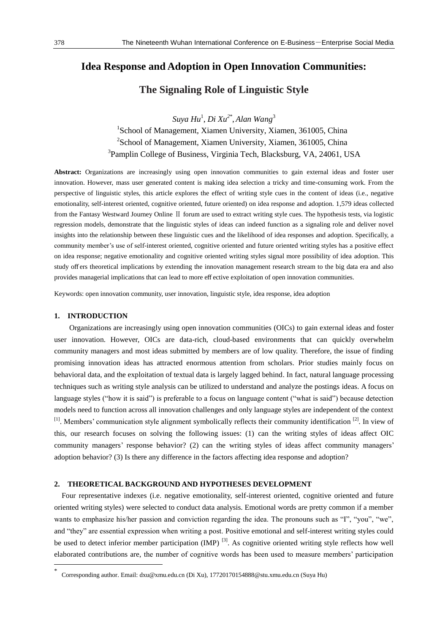# **Idea Response and Adoption in Open Innovation Communities:**

**The Signaling Role of Linguistic Style**

*Suya Hu*<sup>1</sup> , *Di Xu 2\** , *Alan Wang*<sup>3</sup> <sup>1</sup>School of Management, Xiamen University, Xiamen, 361005, China <sup>2</sup>School of Management, Xiamen University, Xiamen, 361005, China <sup>3</sup>Pamplin College of Business, Virginia Tech, Blacksburg, VA, 24061, USA

**Abstract:** Organizations are increasingly using open innovation communities to gain external ideas and foster user innovation. However, mass user generated content is making idea selection a tricky and time-consuming work. From the perspective of linguistic styles, this article explores the effect of writing style cues in the content of ideas (i.e., negative emotionality, self-interest oriented, cognitive oriented, future oriented) on idea response and adoption. 1,579 ideas collected from the Fantasy Westward Journey Online Ⅱ forum are used to extract writing style cues. The hypothesis tests, via logistic regression models, demonstrate that the linguistic styles of ideas can indeed function as a signaling role and deliver novel insights into the relationship between these linguistic cues and the likelihood of idea responses and adoption. Specifically, a community member's use of self-interest oriented, cognitive oriented and future oriented writing styles has a positive effect on idea response; negative emotionality and cognitive oriented writing styles signal more possibility of idea adoption. This study off ers theoretical implications by extending the innovation management research stream to the big data era and also provides managerial implications that can lead to more eff ective exploitation of open innovation communities.

Keywords: open innovation community, user innovation, linguistic style, idea response, idea adoption

#### **1. INTRODUCTION**

-

Organizations are increasingly using open innovation communities (OICs) to gain external ideas and foster user innovation. However, OICs are data-rich, cloud-based environments that can quickly overwhelm community managers and most ideas submitted by members are of low quality. Therefore, the issue of finding promising innovation ideas has attracted enormous attention from scholars. Prior studies mainly focus on behavioral data, and the exploitation of textual data is largely lagged behind. In fact, natural language processing techniques such as writing style analysis can be utilized to understand and analyze the postings ideas. A focus on language styles ("how it is said") is preferable to a focus on language content ("what is said") because detection models need to function across all innovation challenges and only language styles are independent of the context <sup>[1]</sup>. Members' communication style alignment symbolically reflects their community identification <sup>[2]</sup>. In view of this, our research focuses on solving the following issues: (1) can the writing styles of ideas affect OIC community managers' response behavior? (2) can the writing styles of ideas affect community managers' adoption behavior? (3) Is there any difference in the factors affecting idea response and adoption?

#### **2. THEORETICAL BACKGROUND AND HYPOTHESES DEVELOPMENT**

Four representative indexes (i.e. negative emotionality, self-interest oriented, cognitive oriented and future oriented writing styles) were selected to conduct data analysis. Emotional words are pretty common if a member wants to emphasize his/her passion and conviction regarding the idea. The pronouns such as "I", "you", "we", and "they" are essential expression when writing a post. Positive emotional and self-interest writing styles could be used to detect inferior member participation (IMP)<sup>[3]</sup>. As cognitive oriented writing style reflects how well elaborated contributions are, the number of cognitive words has been used to measure members' participation

<sup>\*</sup> Corresponding author. Email: dxu@xmu.edu.cn (Di Xu), 17720170154888@stu.xmu.edu.cn (Suya Hu)